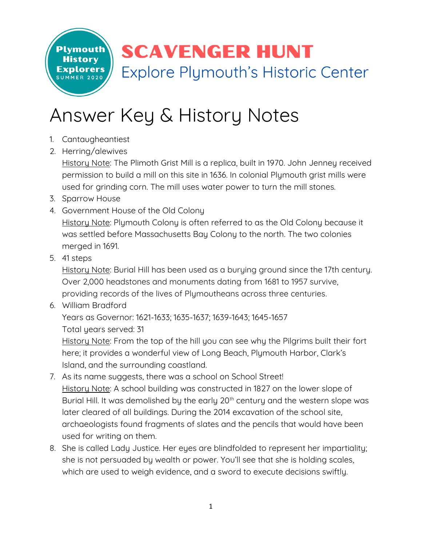**SCAVENGER HUNT** Explore Plymouth's Historic Center

## Answer Key & History Notes

1. Cantaugheantiest

**Plymouth History** 

**Explorers** 

2. Herring/alewives

History Note: The Plimoth Grist Mill is a replica, built in 1970. John Jenney received permission to build a mill on this site in 1636. In colonial Plymouth grist mills were used for grinding corn. The mill uses water power to turn the mill stones.

- 3. Sparrow House
- 4. Government House of the Old Colony History Note: Plymouth Colony is often referred to as the Old Colony because it was settled before Massachusetts Bay Colony to the north. The two colonies merged in 1691.
- 5. 41 steps

History Note: Burial Hill has been used as a burying ground since the 17th century. Over 2,000 headstones and monuments dating from 1681 to 1957 survive, providing records of the lives of Plymoutheans across three centuries.

6. William Bradford

Years as Governor: 1621-1633; 1635-1637; 1639-1643; 1645-1657 Total years served: 31

History Note: From the top of the hill you can see why the Pilgrims built their fort here; it provides a wonderful view of Long Beach, Plymouth Harbor, Clark's Island, and the surrounding coastland.

- 7. As its name suggests, there was a school on School Street! History Note: A school building was constructed in 1827 on the lower slope of Burial Hill. It was demolished by the early 20<sup>th</sup> century and the western slope was later cleared of all buildings. During the 2014 excavation of the school site, archaeologists found fragments of slates and the pencils that would have been used for writing on them.
- 8. She is called Lady Justice. Her eyes are blindfolded to represent her impartiality; she is not persuaded by wealth or power. You'll see that she is holding scales, which are used to weigh evidence, and a sword to execute decisions swiftly.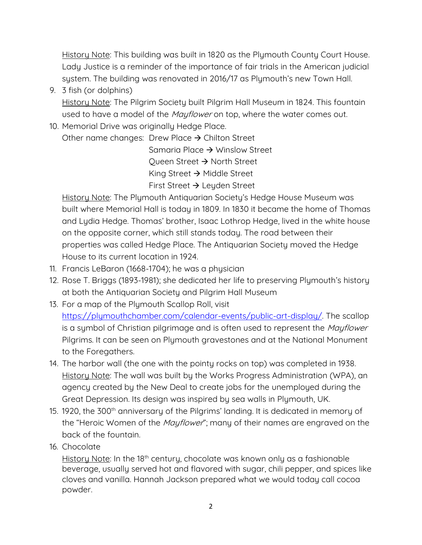History Note: This building was built in 1820 as the Plymouth County Court House. Lady Justice is a reminder of the importance of fair trials in the American judicial system. The building was renovated in 2016/17 as Plymouth's new Town Hall.

9. 3 fish (or dolphins)

History Note: The Pilgrim Society built Pilgrim Hall Museum in 1824. This fountain used to have a model of the *Mayflower* on top, where the water comes out.

10. Memorial Drive was originally Hedge Place.

Other name changes: Drew Place  $\rightarrow$  Chilton Street

Samaria Place → Winslow Street Queen Street  $\rightarrow$  North Street King Street  $\rightarrow$  Middle Street First Street  $\rightarrow$  Leyden Street

History Note: The Plymouth Antiquarian Society's Hedge House Museum was built where Memorial Hall is today in 1809. In 1830 it became the home of Thomas and Lydia Hedge. Thomas' brother, Isaac Lothrop Hedge, lived in the white house on the opposite corner, which still stands today. The road between their properties was called Hedge Place. The Antiquarian Society moved the Hedge House to its current location in 1924.

- 11. Francis LeBaron (1668-1704); he was a physician
- 12. Rose T. Briggs (1893-1981); she dedicated her life to preserving Plymouth's history at both the Antiquarian Society and Pilgrim Hall Museum
- 13. For a map of the Plymouth Scallop Roll, visit [https://plymouthchamber.com/calendar-events/public-art-display/.](https://plymouthchamber.com/calendar-events/public-art-display/) The scallop is a symbol of Christian pilgrimage and is often used to represent the *Mayflower* Pilgrims. It can be seen on Plymouth gravestones and at the National Monument to the Foregathers.
- 14. The harbor wall (the one with the pointy rocks on top) was completed in 1938. History Note: The wall was built by the Works Progress Administration (WPA), an agency created by the New Deal to create jobs for the unemployed during the Great Depression. Its design was inspired by sea walls in Plymouth, UK.
- 15. 1920, the 300<sup>th</sup> anniversary of the Pilgrims' landing. It is dedicated in memory of the "Heroic Women of the *Mayflower*"; many of their names are engraved on the back of the fountain.
- 16. Chocolate

History Note: In the 18<sup>th</sup> century, chocolate was known only as a fashionable beverage, usually served hot and flavored with sugar, chili pepper, and spices like cloves and vanilla. Hannah Jackson prepared what we would today call cocoa powder.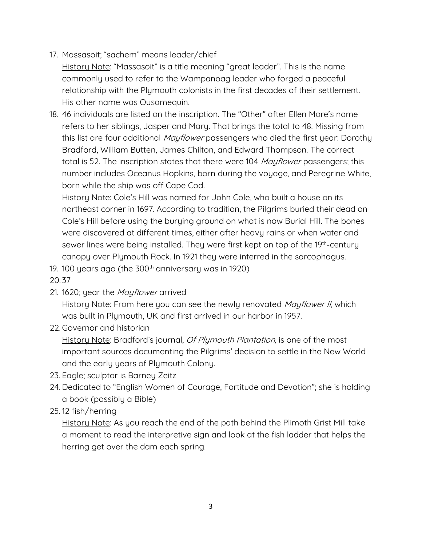17. Massasoit; "sachem" means leader/chief

History Note: "Massasoit" is a title meaning "great leader". This is the name commonly used to refer to the Wampanoag leader who forged a peaceful relationship with the Plymouth colonists in the first decades of their settlement. His other name was Ousamequin.

18. 46 individuals are listed on the inscription. The "Other" after Ellen More's name refers to her siblings, Jasper and Mary. That brings the total to 48. Missing from this list are four additional *Mayflower* passengers who died the first year: Dorothy Bradford, William Butten, James Chilton, and Edward Thompson. The correct total is 52. The inscription states that there were 104 *Mayflower* passengers; this number includes Oceanus Hopkins, born during the voyage, and Peregrine White, born while the ship was off Cape Cod.

History Note: Cole's Hill was named for John Cole, who built a house on its northeast corner in 1697. According to tradition, the Pilgrims buried their dead on Cole's Hill before using the burying ground on what is now Burial Hill. The bones were discovered at different times, either after heavy rains or when water and sewer lines were being installed. They were first kept on top of the 19<sup>th</sup>-century canopy over Plymouth Rock. In 1921 they were interred in the sarcophagus.

19. 100 years ago (the 300<sup>th</sup> anniversary was in 1920)

20. 37

21. 1620; year the *Mayflower* arrived

History Note: From here you can see the newly renovated *Mayflower II*, which was built in Plymouth, UK and first arrived in our harbor in 1957.

22. Governor and historian

History Note: Bradford's journal, *Of Plymouth Plantation*, is one of the most important sources documenting the Pilgrims' decision to settle in the New World and the early years of Plymouth Colony.

- 23. Eagle; sculptor is Barney Zeitz
- 24. Dedicated to "English Women of Courage, Fortitude and Devotion"; she is holding a book (possibly a Bible)
- 25. 12 fish/herring

History Note: As you reach the end of the path behind the Plimoth Grist Mill take a moment to read the interpretive sign and look at the fish ladder that helps the herring get over the dam each spring.